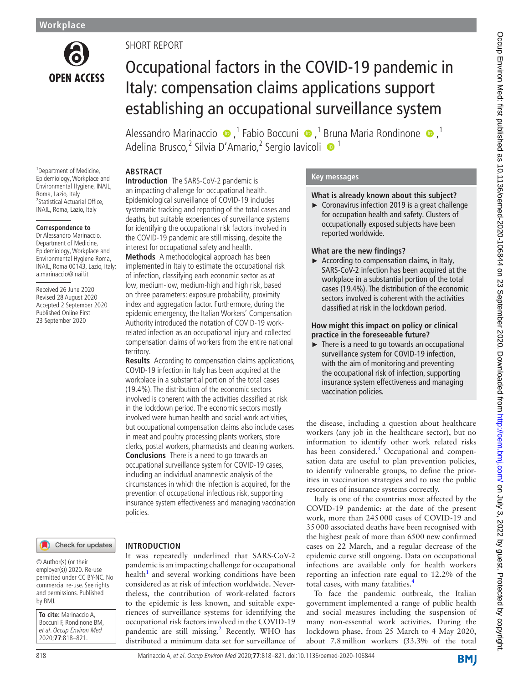

# SHORT REPORT

# Occupational factors in the COVID-19 pandemic in Italy: compensation claims applications support establishing an occupational surveillance system

AlessandroMarinaccio  $\bullet$ ,<sup>1</sup> Fabio Boccuni  $\bullet$ ,<sup>1</sup> Bruna Maria Rondinone  $\bullet$ ,<sup>1</sup> Adelina Brusco,<sup>2</sup> Silvia D'Amario,<sup>2</sup> Sergio Iavicoli · <sup>1</sup>

# **ABSTRACT**

<sup>1</sup> Department of Medicine, Epidemiology, Workplace and Environmental Hygiene, INAIL, Roma, Lazio, Italy <sup>2</sup>Statistical Actuarial Office, INAIL, Roma, Lazio, Italy

#### **Correspondence to**

Dr Alessandro Marinaccio, Department of Medicine, Epidemiology, Workplace and Environmental Hygiene Roma, INAIL, Roma 00143, Lazio, Italy; a.marinaccio@inail.it

Received 26 June 2020 Revised 28 August 2020 Accepted 2 September 2020 Published Online First 23 September 2020

**Introduction** The SARS-CoV-2 pandemic is an impacting challenge for occupational health. Epidemiological surveillance of COVID-19 includes systematic tracking and reporting of the total cases and deaths, but suitable experiences of surveillance systems for identifying the occupational risk factors involved in the COVID-19 pandemic are still missing, despite the interest for occupational safety and health.

**Methods** A methodological approach has been implemented in Italy to estimate the occupational risk of infection, classifying each economic sector as at low, medium-low, medium-high and high risk, based on three parameters: exposure probability, proximity index and aggregation factor. Furthermore, during the epidemic emergency, the Italian Workers' Compensation Authority introduced the notation of COVID-19 workrelated infection as an occupational injury and collected compensation claims of workers from the entire national territory.

**Results** According to compensation claims applications, COVID-19 infection in Italy has been acquired at the workplace in a substantial portion of the total cases (19.4%). The distribution of the economic sectors involved is coherent with the activities classified at risk in the lockdown period. The economic sectors mostly involved were human health and social work activities, but occupational compensation claims also include cases in meat and poultry processing plants workers, store clerks, postal workers, pharmacists and cleaning workers. **Conclusions** There is a need to go towards an occupational surveillance system for COVID-19 cases, including an individual anamnestic analysis of the circumstances in which the infection is acquired, for the prevention of occupational infectious risk, supporting insurance system effectiveness and managing vaccination policies.

#### Check for updates

#### © Author(s) (or their employer(s)) 2020. Re-use permitted under CC BY-NC. No commercial re-use. See rights and permissions. Published by BMJ.

**To cite:** Marinaccio A, Boccuni F, Rondinone BM, et al. Occup Environ Med 2020;**77**:818–821.

# It was repeatedly underlined that SARS-CoV-2

**INTRODUCTION**

pandemic is an impacting challenge for occupational  $h$ ealth<sup>[1](#page-2-0)</sup> and several working conditions have been considered as at risk of infection worldwide. Nevertheless, the contribution of work-related factors to the epidemic is less known, and suitable experiences of surveillance systems for identifying the occupational risk factors involved in the COVID-19 pandemic are still missing.<sup>[2](#page-2-1)</sup> Recently, WHO has distributed a minimum data set for surveillance of

## **Key messages**

# **What is already known about this subject?**

► Coronavirus infection 2019 is a great challenge for occupation health and safety. Clusters of occupationally exposed subjects have been reported worldwide.

# **What are the new findings?**

► According to compensation claims, in Italy, SARS-CoV-2 infection has been acquired at the workplace in a substantial portion of the total cases (19.4%). The distribution of the economic sectors involved is coherent with the activities classified at risk in the lockdown period.

#### **How might this impact on policy or clinical practice in the foreseeable future?**

► There is a need to go towards an occupational surveillance system for COVID-19 infection, with the aim of monitoring and preventing the occupational risk of infection, supporting insurance system effectiveness and managing vaccination policies.

the disease, including a question about healthcare workers (any job in the healthcare sector), but no information to identify other work related risks has been considered.<sup>[3](#page-2-2)</sup> Occupational and compensation data are useful to plan prevention policies, to identify vulnerable groups, to define the priorities in vaccination strategies and to use the public resources of insurance systems correctly.

Italy is one of the countries most affected by the COVID-19 pandemic: at the date of the present work, more than 245000 cases of COVID-19 and 35000 associated deaths have been recognised with the highest peak of more than 6500 new confirmed cases on 22 March, and a regular decrease of the epidemic curve still ongoing. Data on occupational infections are available only for health workers reporting an infection rate equal to 12.2% of the total cases, with many fatalities.<sup>4</sup>

To face the pandemic outbreak, the Italian government implemented a range of public health and social measures including the suspension of many non-essential work activities. During the lockdown phase, from 25 March to 4 May 2020, about 7.8million workers (33.3% of the total

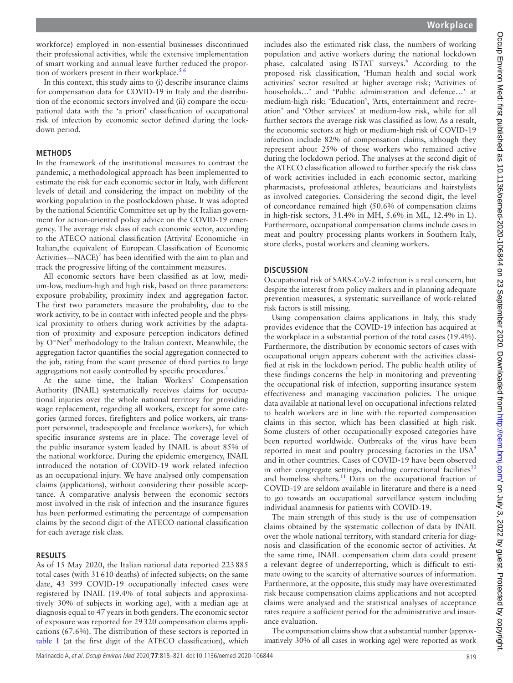workforce) employed in non-essential businesses discontinued their professional activities, while the extensive implementation of smart working and annual leave further reduced the proportion of workers present in their workplace.<sup>56</sup>

In this context, this study aims to (i) describe insurance claims for compensation data for COVID-19 in Italy and the distribution of the economic sectors involved and (ii) compare the occupational data with the 'a priori' classification of occupational risk of infection by economic sector defined during the lockdown period.

#### **METHODS**

In the framework of the institutional measures to contrast the pandemic, a methodological approach has been implemented to estimate the risk for each economic sector in Italy, with different levels of detail and considering the impact on mobility of the working population in the postlockdown phase. It was adopted by the national Scientific Committee set up by the Italian government for action-oriented policy advice on the COVID-19 emergency. The average risk class of each economic sector, according to the ATECO national classification (Attivita' Economiche -in Italian,the equivalent of European Classification of Economic Activities—NACE) $<sup>7</sup>$  $<sup>7</sup>$  $<sup>7</sup>$  has been identified with the aim to plan and</sup> track the progressive lifting of the containment measures.

All economic sectors have been classified as at low, medium-low, medium-high and high risk, based on three parameters: exposure probability, proximity index and aggregation factor. The first two parameters measure the probability, due to the work activity, to be in contact with infected people and the physical proximity to others during work activities by the adaptation of proximity and exposure perception indicators defined by O\*Net<sup>[8](#page-3-1)</sup> methodology to the Italian context. Meanwhile, the aggregation factor quantifies the social aggregation connected to the job, rating from the scant presence of third parties to large aggregations not easily controlled by specific procedures.<sup>[5](#page-2-4)</sup>

At the same time, the Italian Workers' Compensation Authority (INAIL) systematically receives claims for occupational injuries over the whole national territory for providing wage replacement, regarding all workers, except for some categories (armed forces, firefighters and police workers, air transport personnel, tradespeople and freelance workers), for which specific insurance systems are in place. The coverage level of the public insurance system leaded by INAIL is about 85% of the national workforce. During the epidemic emergency, INAIL introduced the notation of COVID-19 work related infection as an occupational injury. We have analysed only compensation claims (applications), without considering their possible acceptance. A comparative analysis between the economic sectors most involved in the risk of infection and the insurance figures has been performed estimating the percentage of compensation claims by the second digit of the ATECO national classification for each average risk class.

#### **RESULTS**

As of 15 May 2020, the Italian national data reported 223885 total cases (with 31610 deaths) of infected subjects; on the same date, 43 399 COVID-19 occupationally infected cases were registered by INAIL (19.4% of total subjects and approximatively 30% of subjects in working age), with a median age at diagnosis equal to 47 years in both genders. The economic sector of exposure was reported for 29320 compensation claims applications (67.6%). The distribution of these sectors is reported in [table](#page-2-5) 1 (at the first digit of the ATECO classification), which

includes also the estimated risk class, the numbers of working population and active workers during the national lockdown phase, calculated using ISTAT surveys.<sup>[6](#page-3-2)</sup> According to the proposed risk classification, 'Human health and social work activities' sector resulted at higher average risk; 'Activities of households…' and 'Public administration and defence…' at medium-high risk; 'Education', 'Arts, entertainment and recreation' and 'Other services' at medium-low risk, while for all further sectors the average risk was classified as low. As a result, the economic sectors at high or medium-high risk of COVID-19 infection include 82% of compensation claims, although they represent about 25% of those workers who remained active during the lockdown period. The analyses at the second digit of the ATECO classification allowed to further specify the risk class of work activities included in each economic sector, marking pharmacists, professional athletes, beauticians and hairstylists as involved categories. Considering the second digit, the level of concordance remained high (50.6% of compensation claims in high-risk sectors, 31.4% in MH, 5.6% in ML, 12.4% in L). Furthermore, occupational compensation claims include cases in meat and poultry processing plants workers in Southern Italy, store clerks, postal workers and cleaning workers.

#### **DISCUSSION**

Occupational risk of SARS-CoV-2 infection is a real concern, but despite the interest from policy makers and in planning adequate prevention measures, a systematic surveillance of work-related risk factors is still missing.

Using compensation claims applications in Italy, this study provides evidence that the COVID-19 infection has acquired at the workplace in a substantial portion of the total cases (19.4%). Furthermore, the distribution by economic sectors of cases with occupational origin appears coherent with the activities classified at risk in the lockdown period. The public health utility of these findings concerns the help in monitoring and preventing the occupational risk of infection, supporting insurance system effectiveness and managing vaccination policies. The unique data available at national level on occupational infections related to health workers are in line with the reported compensation claims in this sector, which has been classified at high risk. Some clusters of other occupationally exposed categories have been reported worldwide. Outbreaks of the virus have been reported in meat and poultry processing factories in the  $USA<sup>9</sup>$  $USA<sup>9</sup>$  $USA<sup>9</sup>$ and in other countries. Cases of COVID-19 have been observed in other congregate settings, including correctional facilities<sup>[10](#page-3-4)</sup> and homeless shelters.<sup>11</sup> Data on the occupational fraction of COVID-19 are seldom available in literature and there is a need to go towards an occupational surveillance system including individual anamnesis for patients with COVID-19.

The main strength of this study is the use of compensation claims obtained by the systematic collection of data by INAIL over the whole national territory, with standard criteria for diagnosis and classification of the economic sector of activities. At the same time, INAIL compensation claim data could present a relevant degree of underreporting, which is difficult to estimate owing to the scarcity of alternative sources of information. Furthermore, at the opposite, this study may have overestimated risk because compensation claims applications and not accepted claims were analysed and the statistical analyses of acceptance rates require a sufficient period for the administrative and insurance evaluation.

The compensation claims show that a substantial number (approximatively 30% of all cases in working age) were reported as work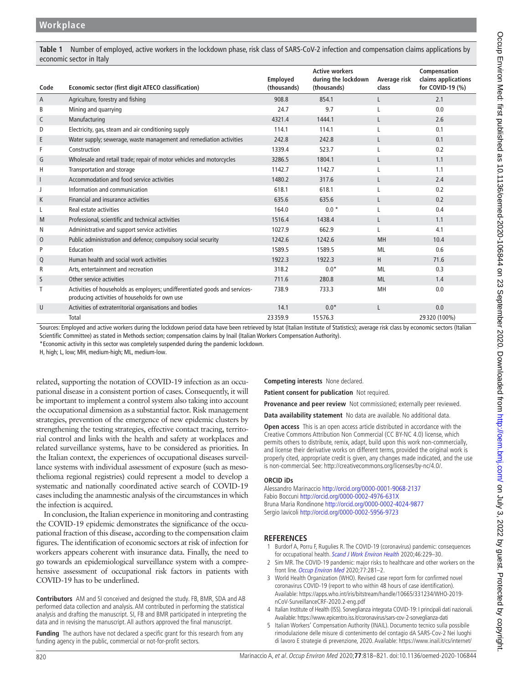<span id="page-2-5"></span>**Table 1** Number of employed, active workers in the lockdown phase, risk class of SARS-CoV-2 infection and compensation claims applications by economic sector in Italy

| Code        | Economic sector (first digit ATECO classification)                                                                            | Employed<br>(thousands) | <b>Active workers</b><br>during the lockdown<br>(thousands) | Average risk<br>class | Compensation<br>claims applications<br>for COVID-19 (%) |
|-------------|-------------------------------------------------------------------------------------------------------------------------------|-------------------------|-------------------------------------------------------------|-----------------------|---------------------------------------------------------|
| A           | Agriculture, forestry and fishing                                                                                             | 908.8                   | 854.1                                                       | L                     | 2.1                                                     |
| B           | Mining and quarrying                                                                                                          | 24.7                    | 9.7                                                         |                       | 0.0                                                     |
| C           | Manufacturing                                                                                                                 | 4321.4                  | 1444.1                                                      | L                     | 2.6                                                     |
| D           | Electricity, gas, steam and air conditioning supply                                                                           | 114.1                   | 114.1                                                       |                       | 0.1                                                     |
| E           | Water supply; sewerage, waste management and remediation activities                                                           | 242.8                   | 242.8                                                       | L                     | 0.1                                                     |
| F           | Construction                                                                                                                  | 1339.4                  | 523.7                                                       |                       | 0.2                                                     |
| G           | Wholesale and retail trade; repair of motor vehicles and motorcycles                                                          | 3286.5                  | 1804.1                                                      | L                     | 1.1                                                     |
| Н           | Transportation and storage                                                                                                    | 1142.7                  | 1142.7                                                      | L                     | 1.1                                                     |
| I           | Accommodation and food service activities                                                                                     | 1480.2                  | 317.6                                                       | L                     | 2.4                                                     |
| J           | Information and communication                                                                                                 | 618.1                   | 618.1                                                       | L                     | 0.2                                                     |
| K           | Financial and insurance activities                                                                                            | 635.6                   | 635.6                                                       | L                     | 0.2                                                     |
| L           | Real estate activities                                                                                                        | 164.0                   | $0.0*$                                                      | L                     | 0.4                                                     |
| M           | Professional, scientific and technical activities                                                                             | 1516.4                  | 1438.4                                                      | L                     | 1.1                                                     |
| N           | Administrative and support service activities                                                                                 | 1027.9                  | 662.9                                                       |                       | 4.1                                                     |
| $\mathbf 0$ | Public administration and defence; compulsory social security                                                                 | 1242.6                  | 1242.6                                                      | MH                    | 10.4                                                    |
| P           | Education                                                                                                                     | 1589.5                  | 1589.5                                                      | <b>ML</b>             | 0.6                                                     |
| Q           | Human health and social work activities                                                                                       | 1922.3                  | 1922.3                                                      | H                     | 71.6                                                    |
| R           | Arts, entertainment and recreation                                                                                            | 318.2                   | $0.0*$                                                      | ML                    | 0.3                                                     |
| S           | Other service activities                                                                                                      | 711.6                   | 280.8                                                       | <b>ML</b>             | 1.4                                                     |
| Τ           | Activities of households as employers; undifferentiated goods and services-<br>producing activities of households for own use | 738.9                   | 733.3                                                       | MH                    | 0.0                                                     |
| U           | Activities of extraterritorial organisations and bodies                                                                       | 14.1                    | $0.0*$                                                      | $\mathbf{I}$          | 0.0                                                     |
|             | Total                                                                                                                         | 23359.9                 | 15576.3                                                     |                       | 29320 (100%)                                            |

Sources: Employed and active workers during the lockdown period data have been retrieved by Istat (Italian Institute of Statistics); average risk class by economic sectors (Italian Scientific Committee) as stated in Methods section; compensation claims by Inail (Italian Workers Compensation Authority).

\*Economic activity in this sector was completely suspended during the pandemic lockdown.

H, high; L, low; MH, medium-high; ML, medium-low.

related, supporting the notation of COVID-19 infection as an occupational disease in a consistent portion of cases. Consequently, it will be important to implement a control system also taking into account the occupational dimension as a substantial factor. Risk management strategies, prevention of the emergence of new epidemic clusters by strengthening the testing strategies, effective contact tracing, territorial control and links with the health and safety at workplaces and related surveillance systems, have to be considered as priorities. In the Italian context, the experiences of occupational diseases surveillance systems with individual assessment of exposure (such as mesothelioma regional registries) could represent a model to develop a systematic and nationally coordinated active search of COVID-19 cases including the anamnestic analysis of the circumstances in which the infection is acquired.

In conclusion, the Italian experience in monitoring and contrasting the COVID-19 epidemic demonstrates the significance of the occupational fraction of this disease, according to the compensation claim figures. The identification of economic sectors at risk of infection for workers appears coherent with insurance data. Finally, the need to go towards an epidemiological surveillance system with a comprehensive assessment of occupational risk factors in patients with COVID-19 has to be underlined.

**Contributors** AM and SI conceived and designed the study. FB, BMR, SDA and AB performed data collection and analysis. AM contributed in performing the statistical analysis and drafting the manuscript. SI, FB and BMR participated in interpreting the data and in revising the manuscript. All authors approved the final manuscript.

**Funding** The authors have not declared a specific grant for this research from any funding agency in the public, commercial or not-for-profit sectors.

**Competing interests** None declared.

**Patient consent for publication** Not required.

**Provenance and peer review** Not commissioned; externally peer reviewed.

**Data availability statement** No data are available. No additional data.

**Open access** This is an open access article distributed in accordance with the Creative Commons Attribution Non Commercial (CC BY-NC 4.0) license, which permits others to distribute, remix, adapt, build upon this work non-commercially, and license their derivative works on different terms, provided the original work is properly cited, appropriate credit is given, any changes made indicated, and the use is non-commercial. See: [http://creativecommons.org/licenses/by-nc/4.0/.](http://creativecommons.org/licenses/by-nc/4.0/)

#### **ORCID iDs**

Alessandro Marinaccio<http://orcid.org/0000-0001-9068-2137> Fabio Boccuni <http://orcid.org/0000-0002-4976-631X> Bruna Maria Rondinone <http://orcid.org/0000-0002-4024-9877> Sergio Iavicoli <http://orcid.org/0000-0002-5956-9723>

## **REFERENCES**

- <span id="page-2-0"></span>1 Burdorf A, Porru F, Rugulies R. The COVID-19 (coronavirus) pandemic: consequences for occupational health. [Scand J Work Environ Health](http://dx.doi.org/10.5271/sjweh.3893) 2020;46:229-30.
- <span id="page-2-1"></span>2 Sim MR. The COVID-19 pandemic: major risks to healthcare and other workers on the front line. [Occup Environ Med](http://dx.doi.org/10.1136/oemed-2020-106567) 2020;77:281-2.
- <span id="page-2-2"></span>3 World Health Organization (WHO). Revised case report form for confirmed novel coronavirus COVID-19 (report to who within 48 hours of case identification). Available: [https://apps.who.int/iris/bitstream/handle/10665/331234/WHO-2019](https://apps.who.int/iris/bitstream/handle/10665/331234/WHO-2019-nCoV-SurveillanceCRF-2020.2-eng.pdf) [nCoV-SurveillanceCRF-2020.2-eng.pdf](https://apps.who.int/iris/bitstream/handle/10665/331234/WHO-2019-nCoV-SurveillanceCRF-2020.2-eng.pdf)
- <span id="page-2-3"></span>4 Italian Institute of Health (ISS). Sorveglianza integrata COVID-19: I principali dati nazionali. Available: <https://www.epicentro.iss.it/coronavirus/sars-cov-2-sorveglianza-dati>
- <span id="page-2-4"></span>5 Italian Workers' Compensation Authority (INAIL). Documento tecnico sulla possibile rimodulazione delle misure di contenimento del contagio dA SARS-Cov-2 Nei luoghi di lavoro E strategie di prevenzione, 2020. Available: [https://www.inail.it/cs/internet/](https://www.inail.it/cs/internet/comunicazione/pubblicazioni/catalogo-generale/pubbl-rimodulazione-contenimento-covid19-sicurezza-lavoro.html)